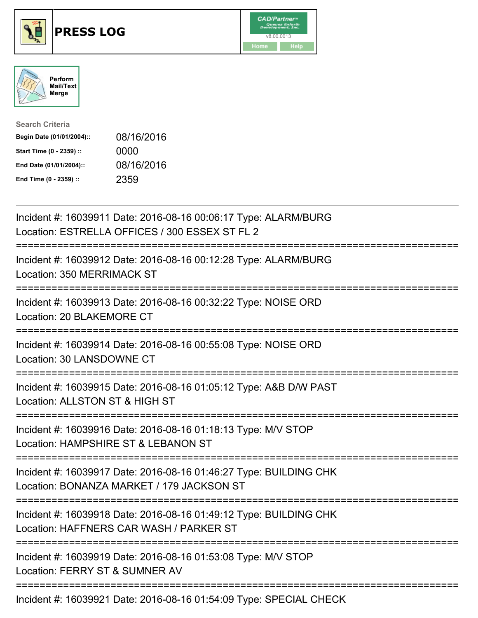





| <b>Search Criteria</b>    |            |
|---------------------------|------------|
| Begin Date (01/01/2004):: | 08/16/2016 |
| Start Time (0 - 2359) ::  | 0000       |
| End Date (01/01/2004)::   | 08/16/2016 |
| End Time (0 - 2359) ::    | 2359       |

| Incident #: 16039911 Date: 2016-08-16 00:06:17 Type: ALARM/BURG<br>Location: ESTRELLA OFFICES / 300 ESSEX ST FL 2                         |
|-------------------------------------------------------------------------------------------------------------------------------------------|
| Incident #: 16039912 Date: 2016-08-16 00:12:28 Type: ALARM/BURG<br>Location: 350 MERRIMACK ST                                             |
| Incident #: 16039913 Date: 2016-08-16 00:32:22 Type: NOISE ORD<br>Location: 20 BLAKEMORE CT<br>-----------------                          |
| Incident #: 16039914 Date: 2016-08-16 00:55:08 Type: NOISE ORD<br>Location: 30 LANSDOWNE CT<br>:===================                       |
| Incident #: 16039915 Date: 2016-08-16 01:05:12 Type: A&B D/W PAST<br>Location: ALLSTON ST & HIGH ST<br>================================== |
| Incident #: 16039916 Date: 2016-08-16 01:18:13 Type: M/V STOP<br>Location: HAMPSHIRE ST & LEBANON ST                                      |
| Incident #: 16039917 Date: 2016-08-16 01:46:27 Type: BUILDING CHK<br>Location: BONANZA MARKET / 179 JACKSON ST                            |
| Incident #: 16039918 Date: 2016-08-16 01:49:12 Type: BUILDING CHK<br>Location: HAFFNERS CAR WASH / PARKER ST                              |
| Incident #: 16039919 Date: 2016-08-16 01:53:08 Type: M/V STOP<br>Location: FERRY ST & SUMNER AV                                           |
|                                                                                                                                           |

Incident #: 16039921 Date: 2016-08-16 01:54:09 Type: SPECIAL CHECK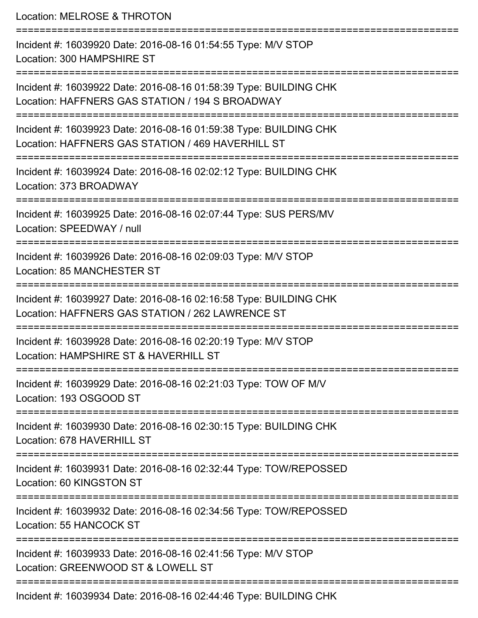Location: MELROSE & THROTON

=========================================================================== Incident #: 16039920 Date: 2016-08-16 01:54:55 Type: M/V STOP Location: 300 HAMPSHIRE ST =========================================================================== Incident #: 16039922 Date: 2016-08-16 01:58:39 Type: BUILDING CHK Location: HAFFNERS GAS STATION / 194 S BROADWAY =========================================================================== Incident #: 16039923 Date: 2016-08-16 01:59:38 Type: BUILDING CHK Location: HAFFNERS GAS STATION / 469 HAVERHILL ST =========================================================================== Incident #: 16039924 Date: 2016-08-16 02:02:12 Type: BUILDING CHK Location: 373 BROADWAY =========================================================================== Incident #: 16039925 Date: 2016-08-16 02:07:44 Type: SUS PERS/MV Location: SPEEDWAY / null =========================================================================== Incident #: 16039926 Date: 2016-08-16 02:09:03 Type: M/V STOP Location: 85 MANCHESTER ST =========================================================================== Incident #: 16039927 Date: 2016-08-16 02:16:58 Type: BUILDING CHK Location: HAFFNERS GAS STATION / 262 LAWRENCE ST =========================================================================== Incident #: 16039928 Date: 2016-08-16 02:20:19 Type: M/V STOP Location: HAMPSHIRE ST & HAVERHILL ST =========================================================================== Incident #: 16039929 Date: 2016-08-16 02:21:03 Type: TOW OF M/V Location: 193 OSGOOD ST =========================================================================== Incident #: 16039930 Date: 2016-08-16 02:30:15 Type: BUILDING CHK Location: 678 HAVERHILL ST =========================================================================== Incident #: 16039931 Date: 2016-08-16 02:32:44 Type: TOW/REPOSSED Location: 60 KINGSTON ST =========================================================================== Incident #: 16039932 Date: 2016-08-16 02:34:56 Type: TOW/REPOSSED Location: 55 HANCOCK ST =========================================================================== Incident #: 16039933 Date: 2016-08-16 02:41:56 Type: M/V STOP Location: GREENWOOD ST & LOWELL ST =========================================================================== Incident #: 16039934 Date: 2016-08-16 02:44:46 Type: BUILDING CHK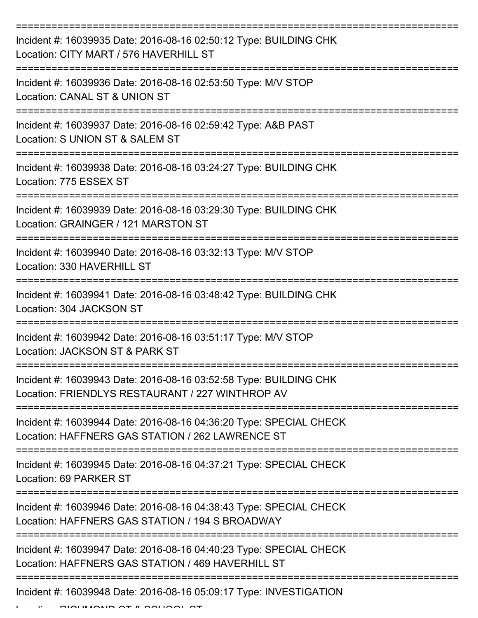| Incident #: 16039935 Date: 2016-08-16 02:50:12 Type: BUILDING CHK<br>Location: CITY MART / 576 HAVERHILL ST             |
|-------------------------------------------------------------------------------------------------------------------------|
| Incident #: 16039936 Date: 2016-08-16 02:53:50 Type: M/V STOP<br>Location: CANAL ST & UNION ST                          |
| Incident #: 16039937 Date: 2016-08-16 02:59:42 Type: A&B PAST<br>Location: S UNION ST & SALEM ST                        |
| Incident #: 16039938 Date: 2016-08-16 03:24:27 Type: BUILDING CHK<br>Location: 775 ESSEX ST                             |
| Incident #: 16039939 Date: 2016-08-16 03:29:30 Type: BUILDING CHK<br>Location: GRAINGER / 121 MARSTON ST                |
| :=================<br>Incident #: 16039940 Date: 2016-08-16 03:32:13 Type: M/V STOP<br>Location: 330 HAVERHILL ST       |
| Incident #: 16039941 Date: 2016-08-16 03:48:42 Type: BUILDING CHK<br>Location: 304 JACKSON ST                           |
| Incident #: 16039942 Date: 2016-08-16 03:51:17 Type: M/V STOP<br>Location: JACKSON ST & PARK ST                         |
| Incident #: 16039943 Date: 2016-08-16 03:52:58 Type: BUILDING CHK<br>Location: FRIENDLYS RESTAURANT / 227 WINTHROP AV   |
| Incident #: 16039944 Date: 2016-08-16 04:36:20 Type: SPECIAL CHECK<br>Location: HAFFNERS GAS STATION / 262 LAWRENCE ST  |
| Incident #: 16039945 Date: 2016-08-16 04:37:21 Type: SPECIAL CHECK<br>Location: 69 PARKER ST                            |
| Incident #: 16039946 Date: 2016-08-16 04:38:43 Type: SPECIAL CHECK<br>Location: HAFFNERS GAS STATION / 194 S BROADWAY   |
| Incident #: 16039947 Date: 2016-08-16 04:40:23 Type: SPECIAL CHECK<br>Location: HAFFNERS GAS STATION / 469 HAVERHILL ST |
| Incident #: 16039948 Date: 2016-08-16 05:09:17 Type: INVESTIGATION<br><b>DIALIMANID AT A AALIAAL</b>                    |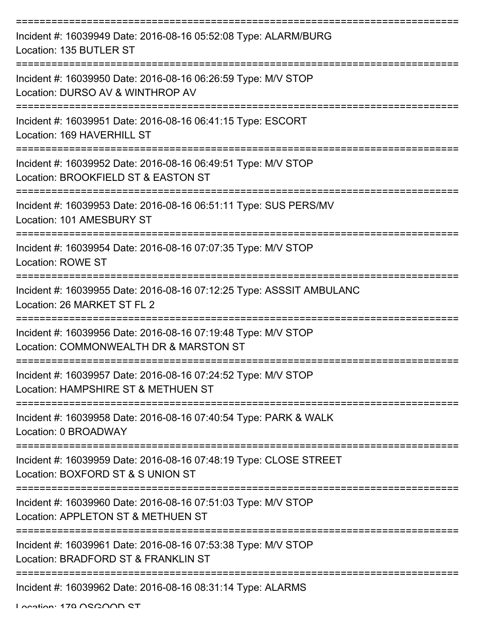| Incident #: 16039949 Date: 2016-08-16 05:52:08 Type: ALARM/BURG<br>Location: 135 BUTLER ST                     |
|----------------------------------------------------------------------------------------------------------------|
| Incident #: 16039950 Date: 2016-08-16 06:26:59 Type: M/V STOP<br>Location: DURSO AV & WINTHROP AV              |
| Incident #: 16039951 Date: 2016-08-16 06:41:15 Type: ESCORT<br>Location: 169 HAVERHILL ST                      |
| Incident #: 16039952 Date: 2016-08-16 06:49:51 Type: M/V STOP<br>Location: BROOKFIELD ST & EASTON ST           |
| Incident #: 16039953 Date: 2016-08-16 06:51:11 Type: SUS PERS/MV<br>Location: 101 AMESBURY ST                  |
| Incident #: 16039954 Date: 2016-08-16 07:07:35 Type: M/V STOP<br>Location: ROWE ST<br>------------------------ |
| Incident #: 16039955 Date: 2016-08-16 07:12:25 Type: ASSSIT AMBULANC<br>Location: 26 MARKET ST FL 2            |
| Incident #: 16039956 Date: 2016-08-16 07:19:48 Type: M/V STOP<br>Location: COMMONWEALTH DR & MARSTON ST        |
| Incident #: 16039957 Date: 2016-08-16 07:24:52 Type: M/V STOP<br>Location: HAMPSHIRE ST & METHUEN ST           |
| Incident #: 16039958 Date: 2016-08-16 07:40:54 Type: PARK & WALK<br>Location: 0 BROADWAY                       |
| Incident #: 16039959 Date: 2016-08-16 07:48:19 Type: CLOSE STREET<br>Location: BOXFORD ST & S UNION ST         |
| Incident #: 16039960 Date: 2016-08-16 07:51:03 Type: M/V STOP<br>Location: APPLETON ST & METHUEN ST            |
| Incident #: 16039961 Date: 2016-08-16 07:53:38 Type: M/V STOP<br>Location: BRADFORD ST & FRANKLIN ST           |
| Incident #: 16039962 Date: 2016-08-16 08:31:14 Type: ALARMS                                                    |

Location: 179 OSGOOD ST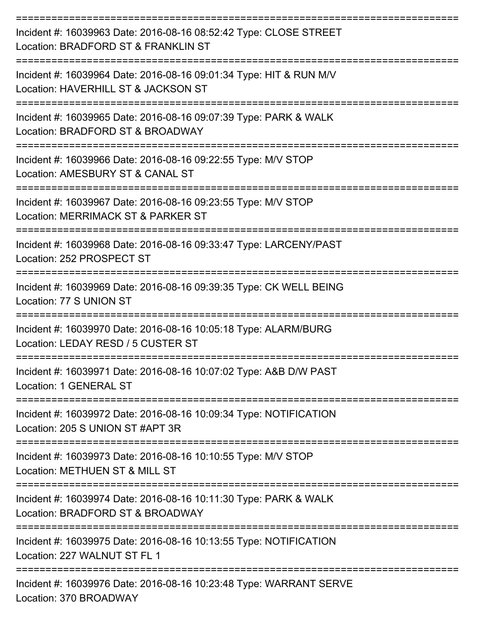| Incident #: 16039963 Date: 2016-08-16 08:52:42 Type: CLOSE STREET<br>Location: BRADFORD ST & FRANKLIN ST  |
|-----------------------------------------------------------------------------------------------------------|
| Incident #: 16039964 Date: 2016-08-16 09:01:34 Type: HIT & RUN M/V<br>Location: HAVERHILL ST & JACKSON ST |
| Incident #: 16039965 Date: 2016-08-16 09:07:39 Type: PARK & WALK<br>Location: BRADFORD ST & BROADWAY      |
| Incident #: 16039966 Date: 2016-08-16 09:22:55 Type: M/V STOP<br>Location: AMESBURY ST & CANAL ST         |
| Incident #: 16039967 Date: 2016-08-16 09:23:55 Type: M/V STOP<br>Location: MERRIMACK ST & PARKER ST       |
| Incident #: 16039968 Date: 2016-08-16 09:33:47 Type: LARCENY/PAST<br>Location: 252 PROSPECT ST            |
| Incident #: 16039969 Date: 2016-08-16 09:39:35 Type: CK WELL BEING<br>Location: 77 S UNION ST             |
| Incident #: 16039970 Date: 2016-08-16 10:05:18 Type: ALARM/BURG<br>Location: LEDAY RESD / 5 CUSTER ST     |
| Incident #: 16039971 Date: 2016-08-16 10:07:02 Type: A&B D/W PAST<br>Location: 1 GENERAL ST               |
| Incident #: 16039972 Date: 2016-08-16 10:09:34 Type: NOTIFICATION<br>Location: 205 S UNION ST #APT 3R     |
| Incident #: 16039973 Date: 2016-08-16 10:10:55 Type: M/V STOP<br>Location: METHUEN ST & MILL ST           |
| Incident #: 16039974 Date: 2016-08-16 10:11:30 Type: PARK & WALK<br>Location: BRADFORD ST & BROADWAY      |
| Incident #: 16039975 Date: 2016-08-16 10:13:55 Type: NOTIFICATION<br>Location: 227 WALNUT ST FL 1         |
| Incident #: 16039976 Date: 2016-08-16 10:23:48 Type: WARRANT SERVE                                        |

Location: 370 BROADWAY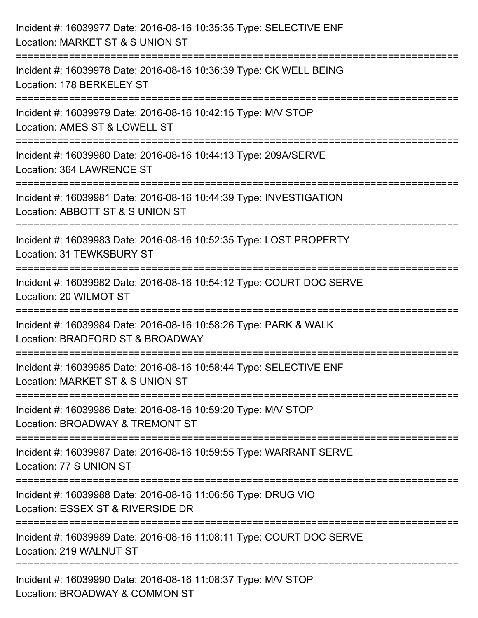| Incident #: 16039977 Date: 2016-08-16 10:35:35 Type: SELECTIVE ENF<br>Location: MARKET ST & S UNION ST                                   |
|------------------------------------------------------------------------------------------------------------------------------------------|
| Incident #: 16039978 Date: 2016-08-16 10:36:39 Type: CK WELL BEING<br>Location: 178 BERKELEY ST                                          |
| Incident #: 16039979 Date: 2016-08-16 10:42:15 Type: M/V STOP<br>Location: AMES ST & LOWELL ST                                           |
| Incident #: 16039980 Date: 2016-08-16 10:44:13 Type: 209A/SERVE<br>Location: 364 LAWRENCE ST                                             |
| Incident #: 16039981 Date: 2016-08-16 10:44:39 Type: INVESTIGATION<br>Location: ABBOTT ST & S UNION ST                                   |
| :================<br>================<br>Incident #: 16039983 Date: 2016-08-16 10:52:35 Type: LOST PROPERTY<br>Location: 31 TEWKSBURY ST |
| ====================<br>Incident #: 16039982 Date: 2016-08-16 10:54:12 Type: COURT DOC SERVE<br>Location: 20 WILMOT ST                   |
| Incident #: 16039984 Date: 2016-08-16 10:58:26 Type: PARK & WALK<br>Location: BRADFORD ST & BROADWAY                                     |
| Incident #: 16039985 Date: 2016-08-16 10:58:44 Type: SELECTIVE ENF<br>Location: MARKET ST & S UNION ST                                   |
| Incident #: 16039986 Date: 2016-08-16 10:59:20 Type: M/V STOP<br>Location: BROADWAY & TREMONT ST                                         |
| Incident #: 16039987 Date: 2016-08-16 10:59:55 Type: WARRANT SERVE<br>Location: 77 S UNION ST                                            |
| Incident #: 16039988 Date: 2016-08-16 11:06:56 Type: DRUG VIO<br>Location: ESSEX ST & RIVERSIDE DR                                       |
| Incident #: 16039989 Date: 2016-08-16 11:08:11 Type: COURT DOC SERVE<br>Location: 219 WALNUT ST                                          |
| Incident #: 16039990 Date: 2016-08-16 11:08:37 Type: M/V STOP<br>Location: BROADWAY & COMMON ST                                          |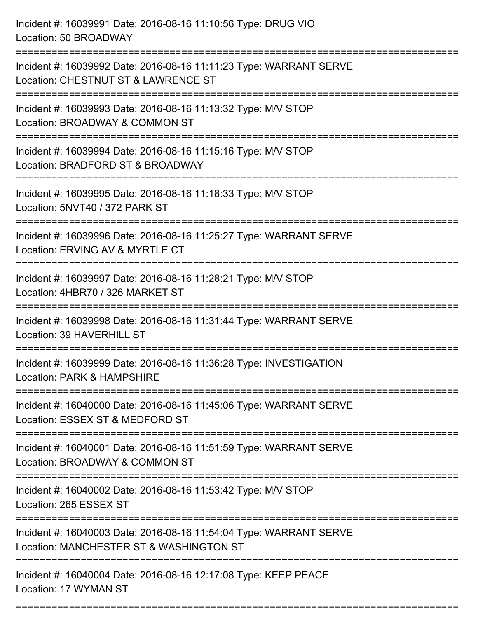| Incident #: 16039991 Date: 2016-08-16 11:10:56 Type: DRUG VIO<br>Location: 50 BROADWAY                                              |
|-------------------------------------------------------------------------------------------------------------------------------------|
| Incident #: 16039992 Date: 2016-08-16 11:11:23 Type: WARRANT SERVE<br>Location: CHESTNUT ST & LAWRENCE ST                           |
| Incident #: 16039993 Date: 2016-08-16 11:13:32 Type: M/V STOP<br>Location: BROADWAY & COMMON ST<br>:=============================== |
| Incident #: 16039994 Date: 2016-08-16 11:15:16 Type: M/V STOP<br>Location: BRADFORD ST & BROADWAY                                   |
| Incident #: 16039995 Date: 2016-08-16 11:18:33 Type: M/V STOP<br>Location: 5NVT40 / 372 PARK ST                                     |
| Incident #: 16039996 Date: 2016-08-16 11:25:27 Type: WARRANT SERVE<br>Location: ERVING AV & MYRTLE CT                               |
| Incident #: 16039997 Date: 2016-08-16 11:28:21 Type: M/V STOP<br>Location: 4HBR70 / 326 MARKET ST<br>--------------                 |
| Incident #: 16039998 Date: 2016-08-16 11:31:44 Type: WARRANT SERVE<br>Location: 39 HAVERHILL ST                                     |
| Incident #: 16039999 Date: 2016-08-16 11:36:28 Type: INVESTIGATION<br>Location: PARK & HAMPSHIRE                                    |
| Incident #: 16040000 Date: 2016-08-16 11:45:06 Type: WARRANT SERVE<br>Location: ESSEX ST & MEDFORD ST                               |
| Incident #: 16040001 Date: 2016-08-16 11:51:59 Type: WARRANT SERVE<br>Location: BROADWAY & COMMON ST                                |
| Incident #: 16040002 Date: 2016-08-16 11:53:42 Type: M/V STOP<br>Location: 265 ESSEX ST                                             |
| Incident #: 16040003 Date: 2016-08-16 11:54:04 Type: WARRANT SERVE<br>Location: MANCHESTER ST & WASHINGTON ST                       |
| Incident #: 16040004 Date: 2016-08-16 12:17:08 Type: KEEP PEACE<br>Location: 17 WYMAN ST                                            |

===========================================================================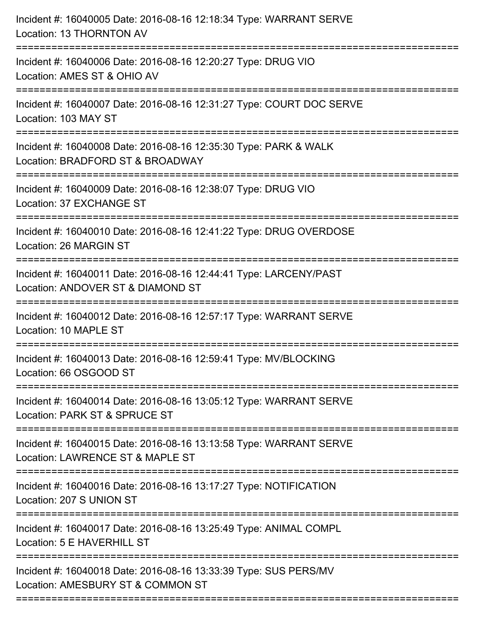| Incident #: 16040005 Date: 2016-08-16 12:18:34 Type: WARRANT SERVE<br>Location: 13 THORNTON AV         |
|--------------------------------------------------------------------------------------------------------|
| Incident #: 16040006 Date: 2016-08-16 12:20:27 Type: DRUG VIO<br>Location: AMES ST & OHIO AV           |
| Incident #: 16040007 Date: 2016-08-16 12:31:27 Type: COURT DOC SERVE<br>Location: 103 MAY ST           |
| Incident #: 16040008 Date: 2016-08-16 12:35:30 Type: PARK & WALK<br>Location: BRADFORD ST & BROADWAY   |
| Incident #: 16040009 Date: 2016-08-16 12:38:07 Type: DRUG VIO<br>Location: 37 EXCHANGE ST              |
| Incident #: 16040010 Date: 2016-08-16 12:41:22 Type: DRUG OVERDOSE<br>Location: 26 MARGIN ST           |
| Incident #: 16040011 Date: 2016-08-16 12:44:41 Type: LARCENY/PAST<br>Location: ANDOVER ST & DIAMOND ST |
| Incident #: 16040012 Date: 2016-08-16 12:57:17 Type: WARRANT SERVE<br>Location: 10 MAPLE ST            |
| Incident #: 16040013 Date: 2016-08-16 12:59:41 Type: MV/BLOCKING<br>Location: 66 OSGOOD ST             |
| Incident #: 16040014 Date: 2016-08-16 13:05:12 Type: WARRANT SERVE<br>Location: PARK ST & SPRUCE ST    |
| Incident #: 16040015 Date: 2016-08-16 13:13:58 Type: WARRANT SERVE<br>Location: LAWRENCE ST & MAPLE ST |
| Incident #: 16040016 Date: 2016-08-16 13:17:27 Type: NOTIFICATION<br>Location: 207 S UNION ST          |
| Incident #: 16040017 Date: 2016-08-16 13:25:49 Type: ANIMAL COMPL<br>Location: 5 E HAVERHILL ST        |
| Incident #: 16040018 Date: 2016-08-16 13:33:39 Type: SUS PERS/MV<br>Location: AMESBURY ST & COMMON ST  |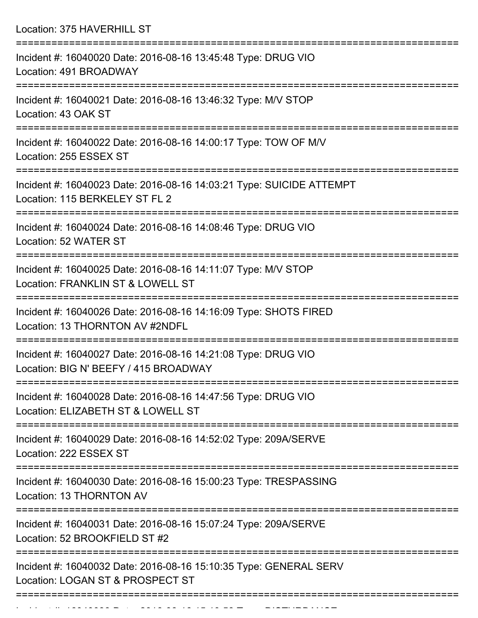Location: 375 HAVERHILL ST

| Incident #: 16040020 Date: 2016-08-16 13:45:48 Type: DRUG VIO<br>Location: 491 BROADWAY                |
|--------------------------------------------------------------------------------------------------------|
| Incident #: 16040021 Date: 2016-08-16 13:46:32 Type: M/V STOP<br>Location: 43 OAK ST                   |
| Incident #: 16040022 Date: 2016-08-16 14:00:17 Type: TOW OF M/V<br>Location: 255 ESSEX ST              |
| Incident #: 16040023 Date: 2016-08-16 14:03:21 Type: SUICIDE ATTEMPT<br>Location: 115 BERKELEY ST FL 2 |
| Incident #: 16040024 Date: 2016-08-16 14:08:46 Type: DRUG VIO<br>Location: 52 WATER ST                 |
| Incident #: 16040025 Date: 2016-08-16 14:11:07 Type: M/V STOP<br>Location: FRANKLIN ST & LOWELL ST     |
| Incident #: 16040026 Date: 2016-08-16 14:16:09 Type: SHOTS FIRED<br>Location: 13 THORNTON AV #2NDFL    |
| Incident #: 16040027 Date: 2016-08-16 14:21:08 Type: DRUG VIO<br>Location: BIG N' BEEFY / 415 BROADWAY |
| Incident #: 16040028 Date: 2016-08-16 14:47:56 Type: DRUG VIO<br>Location: ELIZABETH ST & LOWELL ST    |
| Incident #: 16040029 Date: 2016-08-16 14:52:02 Type: 209A/SERVE<br>Location: 222 ESSEX ST              |
| Incident #: 16040030 Date: 2016-08-16 15:00:23 Type: TRESPASSING<br>Location: 13 THORNTON AV           |
| Incident #: 16040031 Date: 2016-08-16 15:07:24 Type: 209A/SERVE<br>Location: 52 BROOKFIELD ST #2       |
| Incident #: 16040032 Date: 2016-08-16 15:10:35 Type: GENERAL SERV<br>Location: LOGAN ST & PROSPECT ST  |
|                                                                                                        |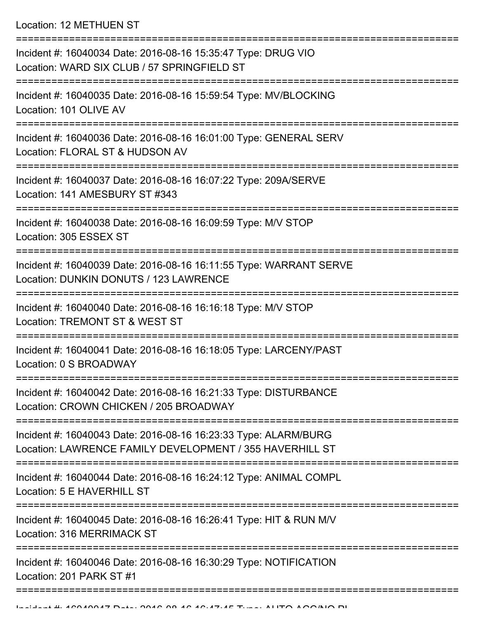Location: 12 METHUEN ST

| Incident #: 16040034 Date: 2016-08-16 15:35:47 Type: DRUG VIO<br>Location: WARD SIX CLUB / 57 SPRINGFIELD ST                |
|-----------------------------------------------------------------------------------------------------------------------------|
| =====================<br>Incident #: 16040035 Date: 2016-08-16 15:59:54 Type: MV/BLOCKING<br>Location: 101 OLIVE AV         |
| Incident #: 16040036 Date: 2016-08-16 16:01:00 Type: GENERAL SERV<br>Location: FLORAL ST & HUDSON AV                        |
| Incident #: 16040037 Date: 2016-08-16 16:07:22 Type: 209A/SERVE<br>Location: 141 AMESBURY ST #343                           |
| Incident #: 16040038 Date: 2016-08-16 16:09:59 Type: M/V STOP<br>Location: 305 ESSEX ST                                     |
| Incident #: 16040039 Date: 2016-08-16 16:11:55 Type: WARRANT SERVE<br>Location: DUNKIN DONUTS / 123 LAWRENCE                |
| Incident #: 16040040 Date: 2016-08-16 16:16:18 Type: M/V STOP<br>Location: TREMONT ST & WEST ST                             |
| Incident #: 16040041 Date: 2016-08-16 16:18:05 Type: LARCENY/PAST<br>Location: 0 S BROADWAY                                 |
| Incident #: 16040042 Date: 2016-08-16 16:21:33 Type: DISTURBANCE<br>Location: CROWN CHICKEN / 205 BROADWAY                  |
| Incident #: 16040043 Date: 2016-08-16 16:23:33 Type: ALARM/BURG<br>Location: LAWRENCE FAMILY DEVELOPMENT / 355 HAVERHILL ST |
| Incident #: 16040044 Date: 2016-08-16 16:24:12 Type: ANIMAL COMPL<br>Location: 5 E HAVERHILL ST                             |
| Incident #: 16040045 Date: 2016-08-16 16:26:41 Type: HIT & RUN M/V<br><b>Location: 316 MERRIMACK ST</b>                     |
| Incident #: 16040046 Date: 2016-08-16 16:30:29 Type: NOTIFICATION<br>Location: 201 PARK ST #1                               |
|                                                                                                                             |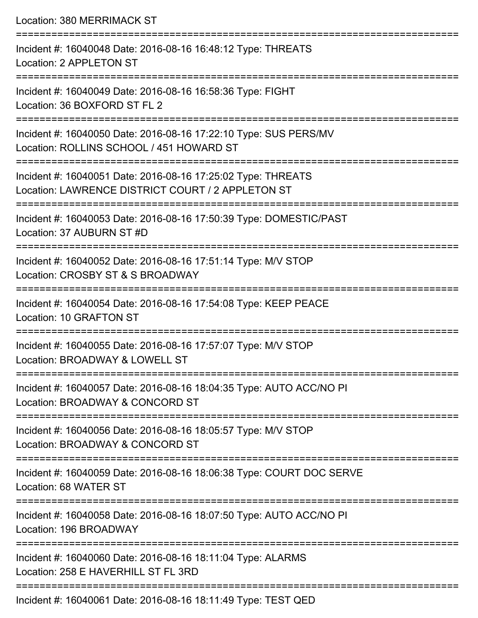| Location: 380 MERRIMACK ST                                                                                                                       |
|--------------------------------------------------------------------------------------------------------------------------------------------------|
| Incident #: 16040048 Date: 2016-08-16 16:48:12 Type: THREATS<br>Location: 2 APPLETON ST                                                          |
| Incident #: 16040049 Date: 2016-08-16 16:58:36 Type: FIGHT<br>Location: 36 BOXFORD ST FL 2                                                       |
| Incident #: 16040050 Date: 2016-08-16 17:22:10 Type: SUS PERS/MV<br>Location: ROLLINS SCHOOL / 451 HOWARD ST<br>================================ |
| Incident #: 16040051 Date: 2016-08-16 17:25:02 Type: THREATS<br>Location: LAWRENCE DISTRICT COURT / 2 APPLETON ST                                |
| Incident #: 16040053 Date: 2016-08-16 17:50:39 Type: DOMESTIC/PAST<br>Location: 37 AUBURN ST #D                                                  |
| Incident #: 16040052 Date: 2016-08-16 17:51:14 Type: M/V STOP<br>Location: CROSBY ST & S BROADWAY                                                |
| Incident #: 16040054 Date: 2016-08-16 17:54:08 Type: KEEP PEACE<br>Location: 10 GRAFTON ST                                                       |
| ==========================<br>-------------<br>Incident #: 16040055 Date: 2016-08-16 17:57:07 Type: M/V STOP<br>Location: BROADWAY & LOWELL ST   |
| ======================<br>Incident #: 16040057 Date: 2016-08-16 18:04:35 Type: AUTO ACC/NO PI<br>Location: BROADWAY & CONCORD ST                 |
| Incident #: 16040056 Date: 2016-08-16 18:05:57 Type: M/V STOP<br>Location: BROADWAY & CONCORD ST                                                 |
| Incident #: 16040059 Date: 2016-08-16 18:06:38 Type: COURT DOC SERVE<br>Location: 68 WATER ST                                                    |
| Incident #: 16040058 Date: 2016-08-16 18:07:50 Type: AUTO ACC/NO PI<br>Location: 196 BROADWAY                                                    |
| Incident #: 16040060 Date: 2016-08-16 18:11:04 Type: ALARMS<br>Location: 258 E HAVERHILL ST FL 3RD                                               |
| $Inoidont #: 40040064, Data: 2040, 00.40.4014.40, Time: TECT OF D$                                                                               |

Incident #: 16040061 Date: 2016-08-16 18:11:49 Type: TEST QED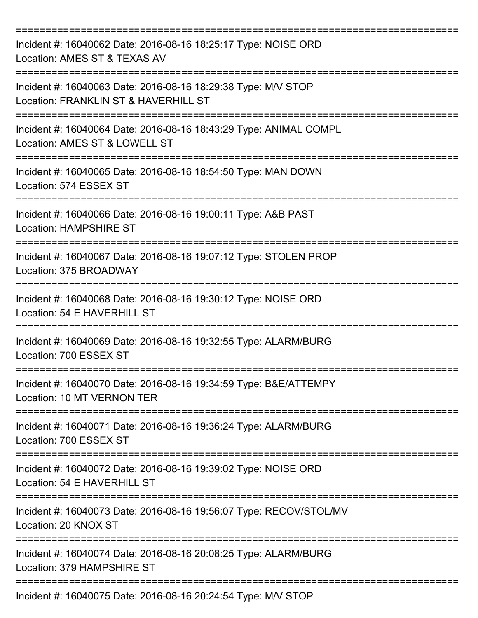| Incident #: 16040062 Date: 2016-08-16 18:25:17 Type: NOISE ORD<br>Location: AMES ST & TEXAS AV        |
|-------------------------------------------------------------------------------------------------------|
| Incident #: 16040063 Date: 2016-08-16 18:29:38 Type: M/V STOP<br>Location: FRANKLIN ST & HAVERHILL ST |
| Incident #: 16040064 Date: 2016-08-16 18:43:29 Type: ANIMAL COMPL<br>Location: AMES ST & LOWELL ST    |
| Incident #: 16040065 Date: 2016-08-16 18:54:50 Type: MAN DOWN<br>Location: 574 ESSEX ST               |
| Incident #: 16040066 Date: 2016-08-16 19:00:11 Type: A&B PAST<br><b>Location: HAMPSHIRE ST</b>        |
| Incident #: 16040067 Date: 2016-08-16 19:07:12 Type: STOLEN PROP<br>Location: 375 BROADWAY            |
| Incident #: 16040068 Date: 2016-08-16 19:30:12 Type: NOISE ORD<br>Location: 54 E HAVERHILL ST         |
| ======<br>Incident #: 16040069 Date: 2016-08-16 19:32:55 Type: ALARM/BURG<br>Location: 700 ESSEX ST   |
| Incident #: 16040070 Date: 2016-08-16 19:34:59 Type: B&E/ATTEMPY<br>Location: 10 MT VERNON TER        |
| Incident #: 16040071 Date: 2016-08-16 19:36:24 Type: ALARM/BURG<br>Location: 700 ESSEX ST             |
| Incident #: 16040072 Date: 2016-08-16 19:39:02 Type: NOISE ORD<br>Location: 54 E HAVERHILL ST         |
| Incident #: 16040073 Date: 2016-08-16 19:56:07 Type: RECOV/STOL/MV<br>Location: 20 KNOX ST            |
| Incident #: 16040074 Date: 2016-08-16 20:08:25 Type: ALARM/BURG<br>Location: 379 HAMPSHIRE ST         |
| Incident #: 16040075 Date: 2016-08-16 20:24:54 Type: M/V STOP                                         |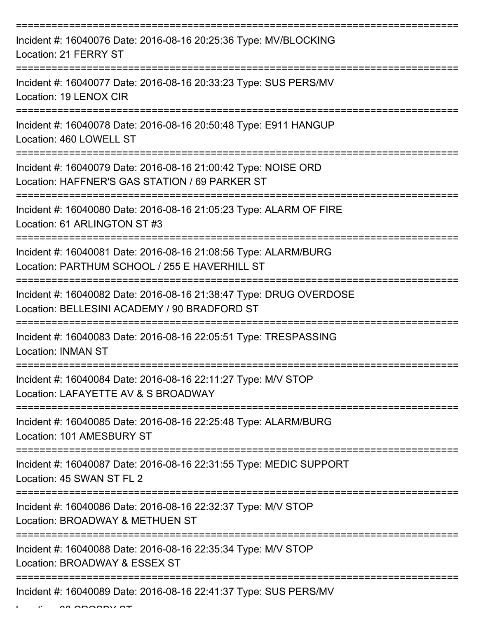| Incident #: 16040076 Date: 2016-08-16 20:25:36 Type: MV/BLOCKING<br>Location: 21 FERRY ST                          |
|--------------------------------------------------------------------------------------------------------------------|
| Incident #: 16040077 Date: 2016-08-16 20:33:23 Type: SUS PERS/MV<br>Location: 19 LENOX CIR                         |
| Incident #: 16040078 Date: 2016-08-16 20:50:48 Type: E911 HANGUP<br>Location: 460 LOWELL ST                        |
| Incident #: 16040079 Date: 2016-08-16 21:00:42 Type: NOISE ORD<br>Location: HAFFNER'S GAS STATION / 69 PARKER ST   |
| Incident #: 16040080 Date: 2016-08-16 21:05:23 Type: ALARM OF FIRE<br>Location: 61 ARLINGTON ST #3                 |
| Incident #: 16040081 Date: 2016-08-16 21:08:56 Type: ALARM/BURG<br>Location: PARTHUM SCHOOL / 255 E HAVERHILL ST   |
| Incident #: 16040082 Date: 2016-08-16 21:38:47 Type: DRUG OVERDOSE<br>Location: BELLESINI ACADEMY / 90 BRADFORD ST |
| Incident #: 16040083 Date: 2016-08-16 22:05:51 Type: TRESPASSING<br><b>Location: INMAN ST</b>                      |
| Incident #: 16040084 Date: 2016-08-16 22:11:27 Type: M/V STOP<br>Location: LAFAYETTE AV & S BROADWAY               |
| Incident #: 16040085 Date: 2016-08-16 22:25:48 Type: ALARM/BURG<br>Location: 101 AMESBURY ST                       |
| Incident #: 16040087 Date: 2016-08-16 22:31:55 Type: MEDIC SUPPORT<br>Location: 45 SWAN ST FL 2                    |
| Incident #: 16040086 Date: 2016-08-16 22:32:37 Type: M/V STOP<br>Location: BROADWAY & METHUEN ST                   |
| Incident #: 16040088 Date: 2016-08-16 22:35:34 Type: M/V STOP<br>Location: BROADWAY & ESSEX ST                     |
| Incident #: 16040089 Date: 2016-08-16 22:41:37 Type: SUS PERS/MV                                                   |

 $L$